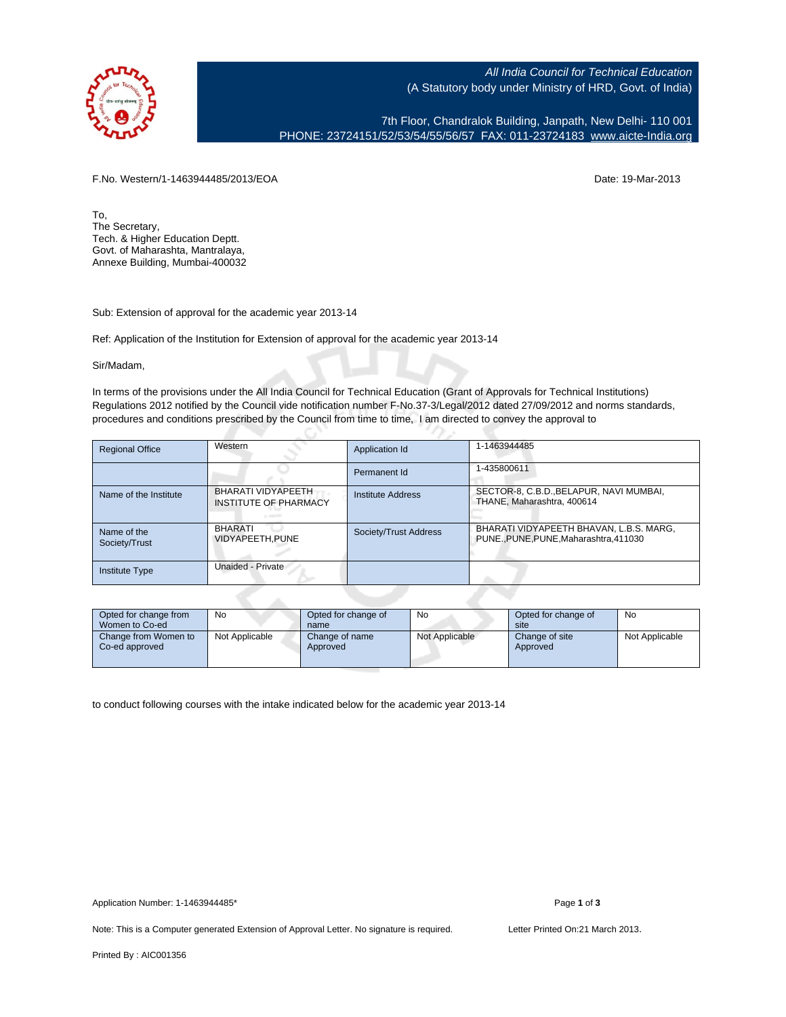

7th Floor, Chandralok Building, Janpath, New Delhi- 110 001 PHONE: 23724151/52/53/54/55/56/57 FAX: 011-23724183 [www.aicte-India.org](http://www.aicte-India.org)

F.No. Western/1-1463944485/2013/EOA Date: 19-Mar-2013

To, The Secretary, Tech. & Higher Education Deptt. Govt. of Maharashta, Mantralaya, Annexe Building, Mumbai-400032

Sub: Extension of approval for the academic year 2013-14

Ref: Application of the Institution for Extension of approval for the academic year 2013-14

C.

Sir/Madam,

In terms of the provisions under the All India Council for Technical Education (Grant of Approvals for Technical Institutions) Regulations 2012 notified by the Council vide notification number F-No.37-3/Legal/2012 dated 27/09/2012 and norms standards, procedures and conditions prescribed by the Council from time to time, I am directed to convey the approval to

| <b>Regional Office</b>       | Western                                            | Application Id        | 1-1463944485                                                                      |
|------------------------------|----------------------------------------------------|-----------------------|-----------------------------------------------------------------------------------|
|                              |                                                    | Permanent Id          | 1-435800611                                                                       |
| Name of the Institute        | <b>BHARATI VIDYAPEETH</b><br>INSTITUTE OF PHARMACY | Institute Address     | SECTOR-8, C.B.D., BELAPUR, NAVI MUMBAI,<br>THANE, Maharashtra, 400614             |
| Name of the<br>Society/Trust | <b>BHARATI</b><br>VIDYAPEETH, PUNE                 | Society/Trust Address | BHARATI VIDYAPEETH BHAVAN, L.B.S. MARG,<br>PUNE., PUNE, PUNE, Maharashtra, 411030 |
| <b>Institute Type</b>        | Unaided - Private                                  |                       |                                                                                   |

| Opted for change from<br>Women to Co-ed | No             | Opted for change of<br>name | No             | Opted for change of<br>site | No             |
|-----------------------------------------|----------------|-----------------------------|----------------|-----------------------------|----------------|
| Change from Women to<br>Co-ed approved  | Not Applicable | Change of name<br>Approved  | Not Applicable | Change of site<br>Approved  | Not Applicable |

to conduct following courses with the intake indicated below for the academic year 2013-14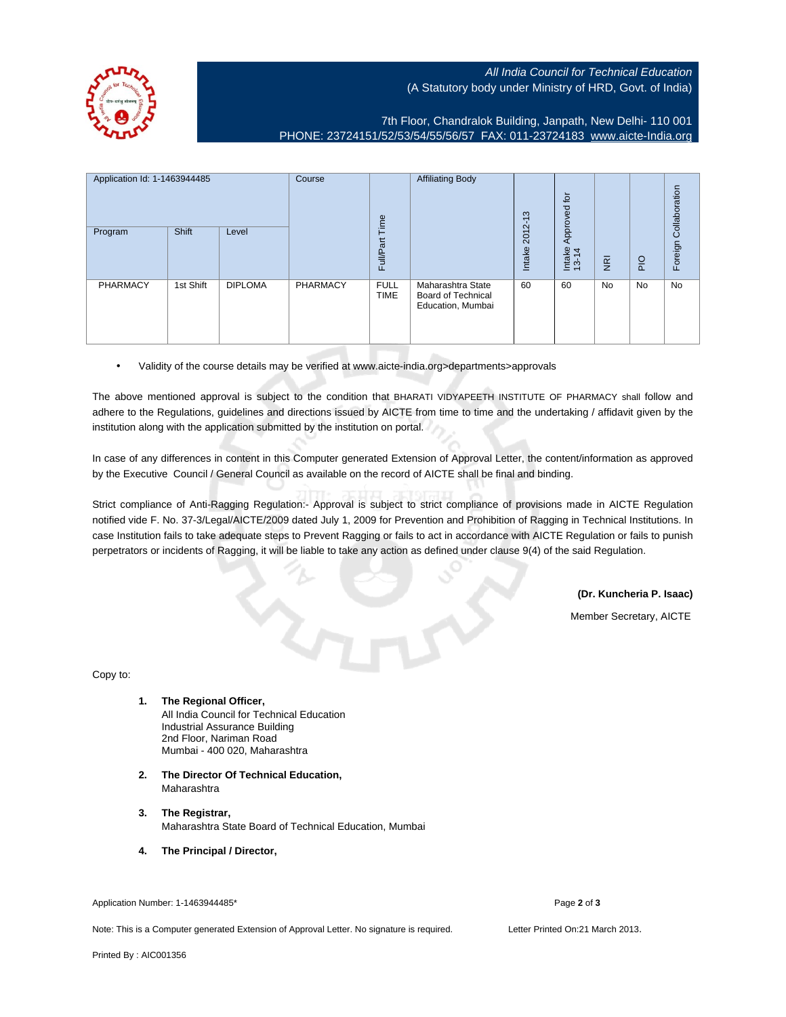

7th Floor, Chandralok Building, Janpath, New Delhi- 110 001 PHONE: 23724151/52/53/54/55/56/57 FAX: 011-23724183 [www.aicte-India.org](http://www.aicte-India.org)

| Application Id: 1-1463944485 |           |                | Course<br>Time |                            | <b>Affiliating Body</b>                                      | ന<br>$\overline{\phantom{0}}$ | $\overleftarrow{\text{or}}$<br>Approved |                |     | Foreign Collaboration |
|------------------------------|-----------|----------------|----------------|----------------------------|--------------------------------------------------------------|-------------------------------|-----------------------------------------|----------------|-----|-----------------------|
| Program                      | Shift     | Level          |                | Full/Part                  |                                                              | $2012 -$<br>Intake            | Intake<br>13-14                         | $\overline{g}$ | PIO |                       |
| <b>PHARMACY</b>              | 1st Shift | <b>DIPLOMA</b> | PHARMACY       | <b>FULL</b><br><b>TIME</b> | Maharashtra State<br>Board of Technical<br>Education, Mumbai | 60                            | 60                                      | <b>No</b>      | No  | No                    |

• Validity of the course details may be verified at www.aicte-india.org>departments>approvals

The above mentioned approval is subject to the condition that BHARATI VIDYAPEETH INSTITUTE OF PHARMACY shall follow and adhere to the Regulations, guidelines and directions issued by AICTE from time to time and the undertaking / affidavit given by the institution along with the application submitted by the institution on portal.

In case of any differences in content in this Computer generated Extension of Approval Letter, the content/information as approved by the Executive Council / General Council as available on the record of AICTE shall be final and binding.

Strict compliance of Anti-Ragging Regulation:- Approval is subject to strict compliance of provisions made in AICTE Regulation notified vide F. No. 37-3/Legal/AICTE/2009 dated July 1, 2009 for Prevention and Prohibition of Ragging in Technical Institutions. In case Institution fails to take adequate steps to Prevent Ragging or fails to act in accordance with AICTE Regulation or fails to punish perpetrators or incidents of Ragging, it will be liable to take any action as defined under clause 9(4) of the said Regulation.

**(Dr. Kuncheria P. Isaac)**

Member Secretary, AICTE

Copy to:

- **1. The Regional Officer,** All India Council for Technical Education Industrial Assurance Building 2nd Floor, Nariman Road Mumbai - 400 020, Maharashtra
- **2. The Director Of Technical Education,** Maharashtra
- **3. The Registrar,** Maharashtra State Board of Technical Education, Mumbai
- **4. The Principal / Director,**

Application Number: 1-1463944485\* Page **2** of **3**

Note: This is a Computer generated Extension of Approval Letter. No signature is required. Letter Printed On:21 March 2013.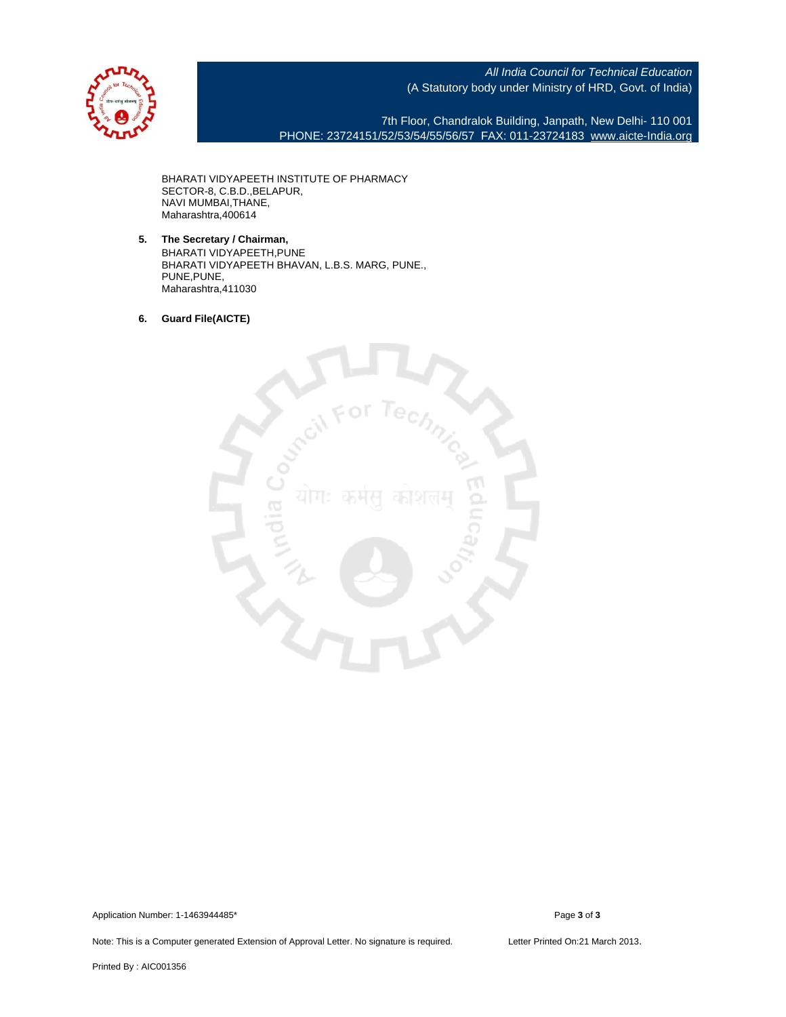

7th Floor, Chandralok Building, Janpath, New Delhi- 110 001 PHONE: 23724151/52/53/54/55/56/57 FAX: 011-23724183 [www.aicte-India.org](http://www.aicte-India.org)

BHARATI VIDYAPEETH INSTITUTE OF PHARMACY SECTOR-8, C.B.D.,BELAPUR, NAVI MUMBAI,THANE, Maharashtra,400614

- **5. The Secretary / Chairman,** BHARATI VIDYAPEETH,PUNE BHARATI VIDYAPEETH BHAVAN, L.B.S. MARG, PUNE., PUNE,PUNE, Maharashtra,411030
- **6. Guard File(AICTE)**



Application Number: 1-1463944485\* Page **3** of **3**

Note: This is a Computer generated Extension of Approval Letter. No signature is required. Letter Printed On:21 March 2013.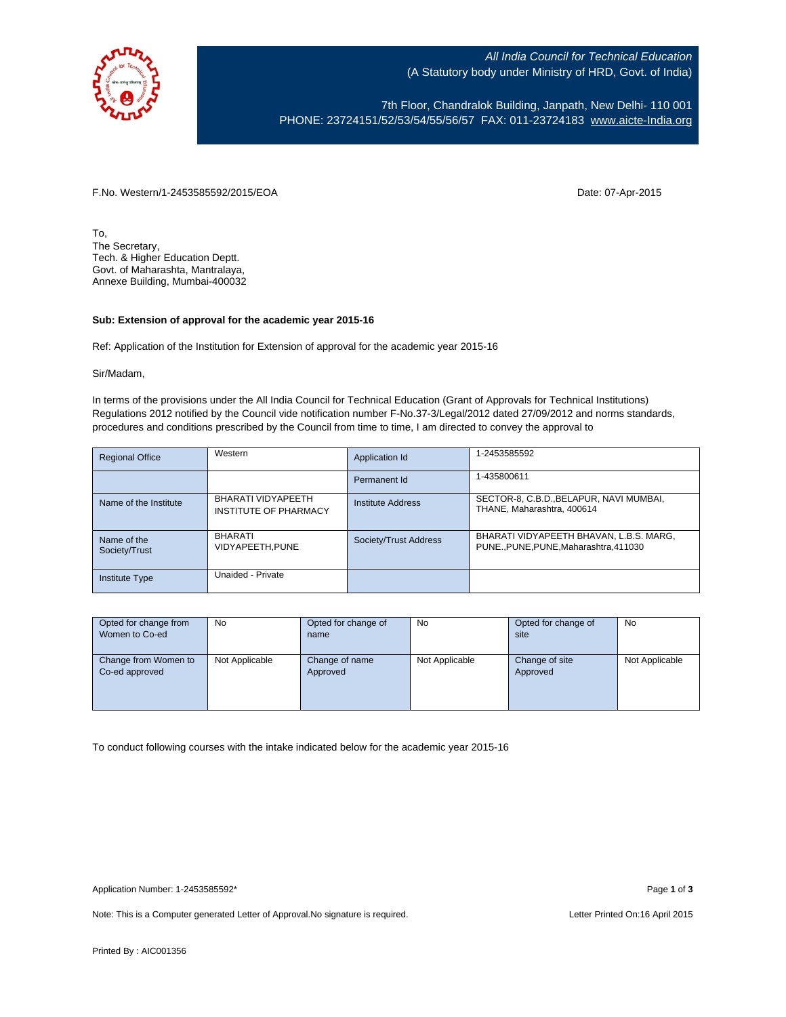

7th Floor, Chandralok Building, Janpath, New Delhi- 110 001 PHONE: 23724151/52/53/54/55/56/57 FAX: 011-23724183 [www.aicte-India.org](http://www.aicte-india.org/)

F.No. Western/1-2453585592/2015/EOA Date: 07-Apr-2015

To, The Secretary, Tech. & Higher Education Deptt. Govt. of Maharashta, Mantralaya, Annexe Building, Mumbai-400032

#### **Sub: Extension of approval for the academic year 2015-16**

Ref: Application of the Institution for Extension of approval for the academic year 2015-16

Sir/Madam,

In terms of the provisions under the All India Council for Technical Education (Grant of Approvals for Technical Institutions) Regulations 2012 notified by the Council vide notification number F-No.37-3/Legal/2012 dated 27/09/2012 and norms standards, procedures and conditions prescribed by the Council from time to time, I am directed to convey the approval to

| <b>Regional Office</b>       | Western                                     | Application Id        | 1-2453585592                                                                      |
|------------------------------|---------------------------------------------|-----------------------|-----------------------------------------------------------------------------------|
|                              |                                             | Permanent Id          | 1-435800611                                                                       |
| Name of the Institute        | BHARATI VIDYAPEETH<br>INSTITUTE OF PHARMACY | Institute Address     | SECTOR-8, C.B.D., BELAPUR, NAVI MUMBAI,<br>THANE, Maharashtra, 400614             |
| Name of the<br>Society/Trust | <b>BHARATI</b><br>VIDYAPEETH, PUNE          | Society/Trust Address | BHARATI VIDYAPEETH BHAVAN, L.B.S. MARG,<br>PUNE., PUNE, PUNE, Maharashtra, 411030 |
| <b>Institute Type</b>        | Unaided - Private                           |                       |                                                                                   |

| Opted for change from | <b>No</b>      | Opted for change of | <b>No</b>      | Opted for change of | <b>No</b>      |
|-----------------------|----------------|---------------------|----------------|---------------------|----------------|
| Women to Co-ed        |                | name                |                | site                |                |
|                       |                |                     |                |                     |                |
| Change from Women to  | Not Applicable | Change of name      | Not Applicable | Change of site      | Not Applicable |
| Co-ed approved        |                | Approved            |                | Approved            |                |
|                       |                |                     |                |                     |                |
|                       |                |                     |                |                     |                |
|                       |                |                     |                |                     |                |

To conduct following courses with the intake indicated below for the academic year 2015-16

Note: This is a Computer generated Letter of Approval. No signature is required. Letter Printed On:16 April 2015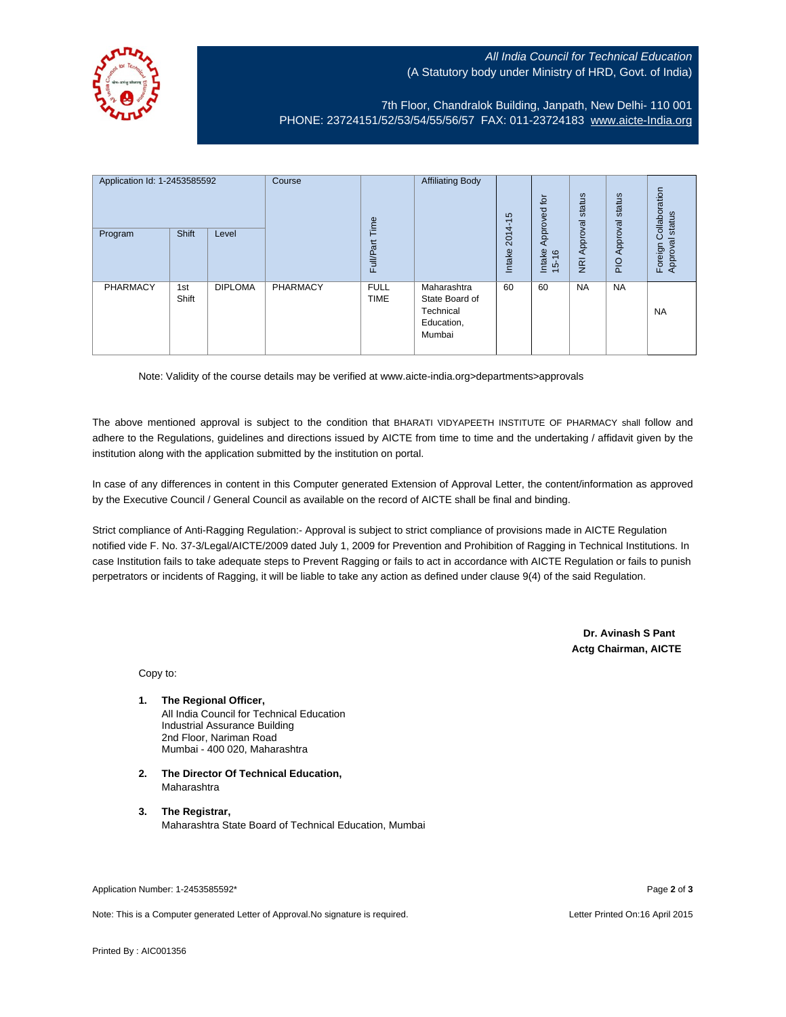

7th Floor, Chandralok Building, Janpath, New Delhi- 110 001 PHONE: 23724151/52/53/54/55/56/57 FAX: 011-23724183 [www.aicte-India.org](http://www.aicte-india.org/)

| Application Id: 1-2453585592 |              |                | Course<br>Time  |                            | <b>Affiliating Body</b>                                            | S<br>$\overline{\phantom{0}}$ | $\overline{5}$<br>g                                 | status                     | status          | ollaboration<br>status   |
|------------------------------|--------------|----------------|-----------------|----------------------------|--------------------------------------------------------------------|-------------------------------|-----------------------------------------------------|----------------------------|-----------------|--------------------------|
| Program                      | Shift        | Level          |                 | <b>Full/Part</b>           |                                                                    | $2014 -$<br>Intake            | Approve<br>Intake<br>$\frac{6}{2}$<br>$\frac{1}{2}$ | Approval<br>$\overline{g}$ | Approval<br>PIO | Ö<br>Approval<br>Foreign |
| PHARMACY                     | 1st<br>Shift | <b>DIPLOMA</b> | <b>PHARMACY</b> | <b>FULL</b><br><b>TIME</b> | Maharashtra<br>State Board of<br>Technical<br>Education,<br>Mumbai | 60                            | 60                                                  | <b>NA</b>                  | <b>NA</b>       | <b>NA</b>                |

Note: Validity of the course details may be verified at www.aicte-india.org>departments>approvals

The above mentioned approval is subject to the condition that BHARATI VIDYAPEETH INSTITUTE OF PHARMACY shall follow and adhere to the Regulations, guidelines and directions issued by AICTE from time to time and the undertaking / affidavit given by the institution along with the application submitted by the institution on portal.

In case of any differences in content in this Computer generated Extension of Approval Letter, the content/information as approved by the Executive Council / General Council as available on the record of AICTE shall be final and binding.

Strict compliance of Anti-Ragging Regulation:- Approval is subject to strict compliance of provisions made in AICTE Regulation notified vide F. No. 37-3/Legal/AICTE/2009 dated July 1, 2009 for Prevention and Prohibition of Ragging in Technical Institutions. In case Institution fails to take adequate steps to Prevent Ragging or fails to act in accordance with AICTE Regulation or fails to punish perpetrators or incidents of Ragging, it will be liable to take any action as defined under clause 9(4) of the said Regulation.

> **Dr. Avinash S Pant Actg Chairman, AICTE**

Copy to:

- **1. The Regional Officer,** All India Council for Technical Education Industrial Assurance Building 2nd Floor, Nariman Road Mumbai - 400 020, Maharashtra
- **2. The Director Of Technical Education,** Maharashtra
- **3. The Registrar,** Maharashtra State Board of Technical Education, Mumbai

Application Number: 1-2453585592\* Page **2** of **3**

Note: This is a Computer generated Letter of Approval.No signature is required. Letter According the state of April 2015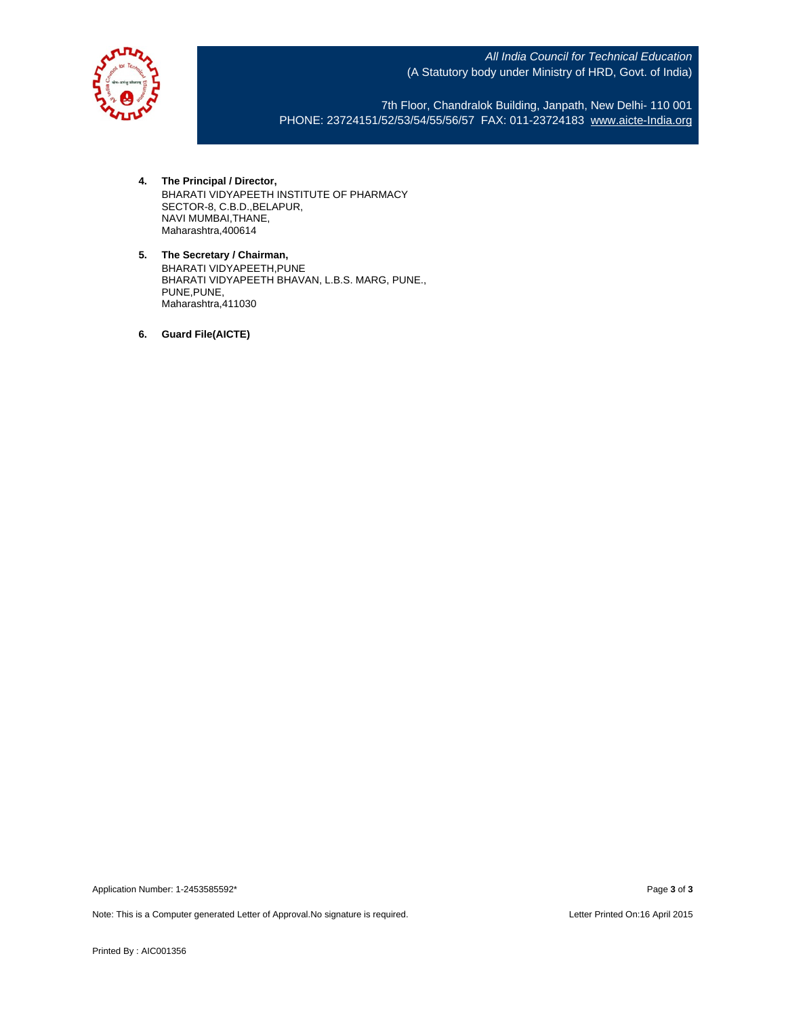

7th Floor, Chandralok Building, Janpath, New Delhi- 110 001 PHONE: 23724151/52/53/54/55/56/57 FAX: 011-23724183 [www.aicte-India.org](http://www.aicte-india.org/)

- **4. The Principal / Director,** BHARATI VIDYAPEETH INSTITUTE OF PHARMACY SECTOR-8, C.B.D.,BELAPUR, NAVI MUMBAI,THANE, Maharashtra,400614
- **5. The Secretary / Chairman,** BHARATI VIDYAPEETH,PUNE BHARATI VIDYAPEETH BHAVAN, L.B.S. MARG, PUNE., PUNE,PUNE, Maharashtra,411030
- **6. Guard File(AICTE)**

Application Number: 1-2453585592\* Page **3** of **3**

Note: This is a Computer generated Letter of Approval. No signature is required. Letter Printed On:16 April 2015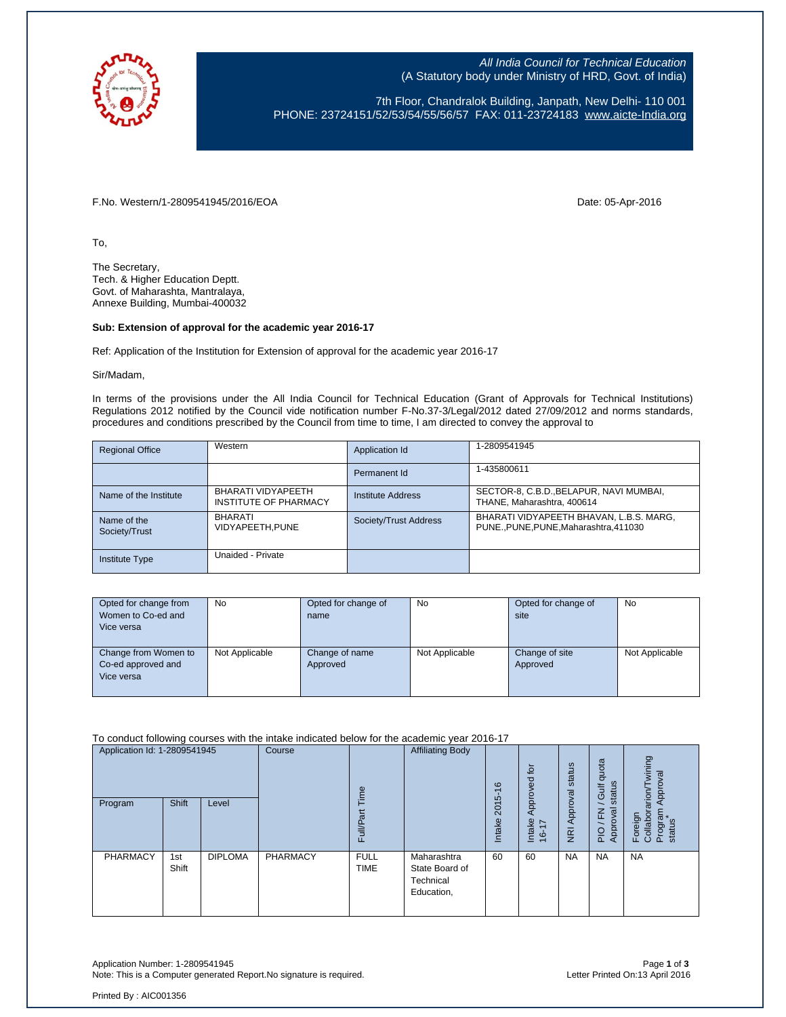

7th Floor, Chandralok Building, Janpath, New Delhi- 110 001 PHONE: 23724151/52/53/54/55/56/57 FAX: 011-23724183 [www.aicte-India.org](http://www.aicte-india.org/)

F.No. Western/1-2809541945/2016/EOA Date: 05-Apr-2016

To,

The Secretary, Tech. & Higher Education Deptt. Govt. of Maharashta, Mantralaya, Annexe Building, Mumbai-400032

#### **Sub: Extension of approval for the academic year 2016-17**

Ref: Application of the Institution for Extension of approval for the academic year 2016-17

Sir/Madam,

In terms of the provisions under the All India Council for Technical Education (Grant of Approvals for Technical Institutions) Regulations 2012 notified by the Council vide notification number F-No.37-3/Legal/2012 dated 27/09/2012 and norms standards, procedures and conditions prescribed by the Council from time to time, I am directed to convey the approval to

| <b>Regional Office</b>       | Western                                            | Application Id        | 1-2809541945                                                                      |
|------------------------------|----------------------------------------------------|-----------------------|-----------------------------------------------------------------------------------|
|                              |                                                    | Permanent Id          | 1-435800611                                                                       |
| Name of the Institute        | BHARATI VIDYAPEETH<br><b>INSTITUTE OF PHARMACY</b> | Institute Address     | SECTOR-8, C.B.D., BELAPUR, NAVI MUMBAI,<br>THANE, Maharashtra, 400614             |
| Name of the<br>Society/Trust | <b>BHARATI</b><br>VIDYAPEETH.PUNE                  | Society/Trust Address | BHARATI VIDYAPEETH BHAVAN, L.B.S. MARG,<br>PUNE., PUNE, PUNE, Maharashtra, 411030 |
| Institute Type               | Unaided - Private                                  |                       |                                                                                   |

| Opted for change from | No             | Opted for change of | <b>No</b>      | Opted for change of | <b>No</b>      |
|-----------------------|----------------|---------------------|----------------|---------------------|----------------|
| Women to Co-ed and    |                | name                |                | site                |                |
| Vice versa            |                |                     |                |                     |                |
|                       |                |                     |                |                     |                |
| Change from Women to  | Not Applicable | Change of name      | Not Applicable | Change of site      | Not Applicable |
| Co-ed approved and    |                | Approved            |                | Approved            |                |
| Vice versa            |                |                     |                |                     |                |
|                       |                |                     |                |                     |                |

To conduct following courses with the intake indicated below for the academic year 2016-17

| Application Id: 1-2809541945 |              | Course         | euil     | <b>Affiliating Body</b>    | $\frac{6}{2}$                                            | tor<br>Approved | status                                    | uota<br>ᇂ<br>status<br><b>Gulf</b>  | wining<br>Approval<br>rarion/T       |                                           |
|------------------------------|--------------|----------------|----------|----------------------------|----------------------------------------------------------|-----------------|-------------------------------------------|-------------------------------------|--------------------------------------|-------------------------------------------|
| Program                      | <b>Shift</b> | Level          |          | Full/Part                  |                                                          | 2015-<br>Intake | Intake<br>$\overline{1}$<br>$\frac{6}{5}$ | Approval<br>$\overline{\mathsf{E}}$ | $\overline{g}$<br>준<br>Approv<br>PIO | Program<br>Foreign<br>Collabora<br>status |
| PHARMACY                     | 1st<br>Shift | <b>DIPLOMA</b> | PHARMACY | <b>FULL</b><br><b>TIME</b> | Maharashtra<br>State Board of<br>Technical<br>Education, | 60              | 60                                        | <b>NA</b>                           | <b>NA</b>                            | <b>NA</b>                                 |

Application Number: 1-2809541945 Page **1** of **3** Note: This is a Computer generated Report.No signature is required.

Printed By : AIC001356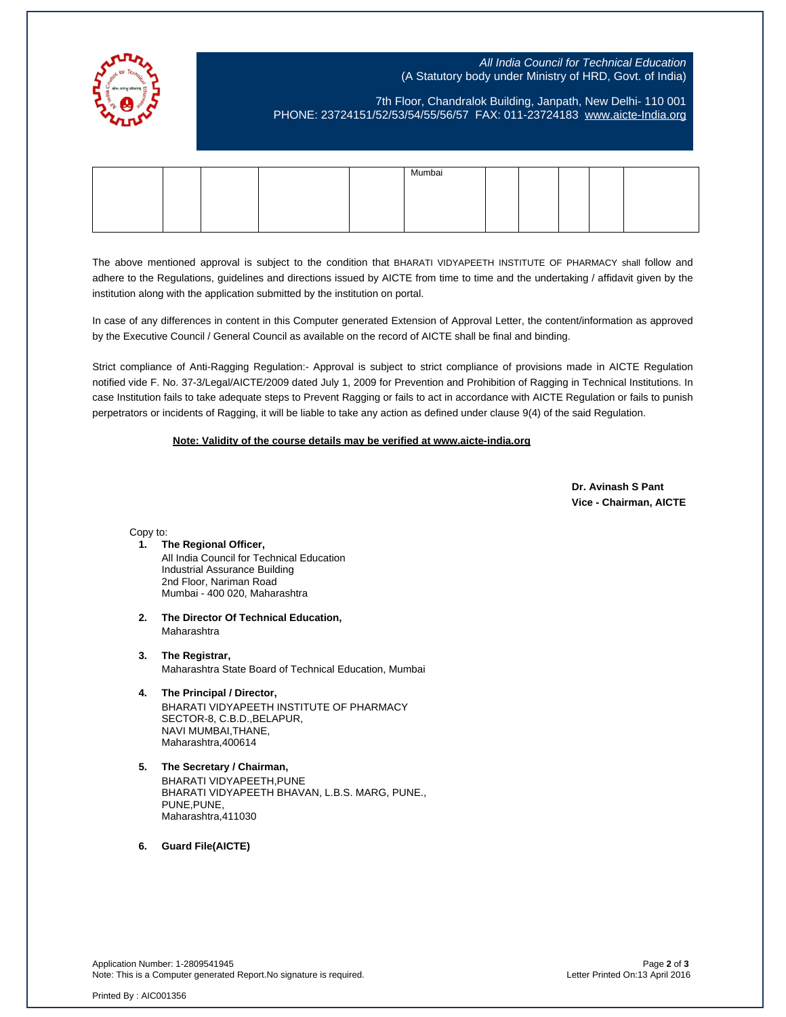

## 7th Floor, Chandralok Building, Janpath, New Delhi- 110 001 PHONE: 23724151/52/53/54/55/56/57 FAX: 011-23724183 [www.aicte-India.org](http://www.aicte-india.org/)

|  |  | Mumbai |  |  |  |
|--|--|--------|--|--|--|
|  |  |        |  |  |  |
|  |  |        |  |  |  |
|  |  |        |  |  |  |

The above mentioned approval is subject to the condition that BHARATI VIDYAPEETH INSTITUTE OF PHARMACY shall follow and adhere to the Regulations, guidelines and directions issued by AICTE from time to time and the undertaking / affidavit given by the institution along with the application submitted by the institution on portal.

In case of any differences in content in this Computer generated Extension of Approval Letter, the content/information as approved by the Executive Council / General Council as available on the record of AICTE shall be final and binding.

Strict compliance of Anti-Ragging Regulation:- Approval is subject to strict compliance of provisions made in AICTE Regulation notified vide F. No. 37-3/Legal/AICTE/2009 dated July 1, 2009 for Prevention and Prohibition of Ragging in Technical Institutions. In case Institution fails to take adequate steps to Prevent Ragging or fails to act in accordance with AICTE Regulation or fails to punish perpetrators or incidents of Ragging, it will be liable to take any action as defined under clause 9(4) of the said Regulation.

 **Note: Validity of the course details may be verified at www.aicte-india.org**

 **Dr. Avinash S Pant Vice - Chairman, AICTE**

Copy to:

#### **1. The Regional Officer,** All India Council for Technical Education Industrial Assurance Building 2nd Floor, Nariman Road Mumbai - 400 020, Maharashtra

- **2. The Director Of Technical Education,** Maharashtra
- **3. The Registrar,** Maharashtra State Board of Technical Education, Mumbai
- **4. The Principal / Director,** BHARATI VIDYAPEETH INSTITUTE OF PHARMACY SECTOR-8, C.B.D.,BELAPUR, NAVI MUMBAI,THANE, Maharashtra,400614
- **5. The Secretary / Chairman,** BHARATI VIDYAPEETH,PUNE BHARATI VIDYAPEETH BHAVAN, L.B.S. MARG, PUNE., PUNE,PUNE, Maharashtra,411030

**6. Guard File(AICTE)**

Application Number: 1-2809541945 Page **2** of **3** Note: This is a Computer generated Report.No signature is required.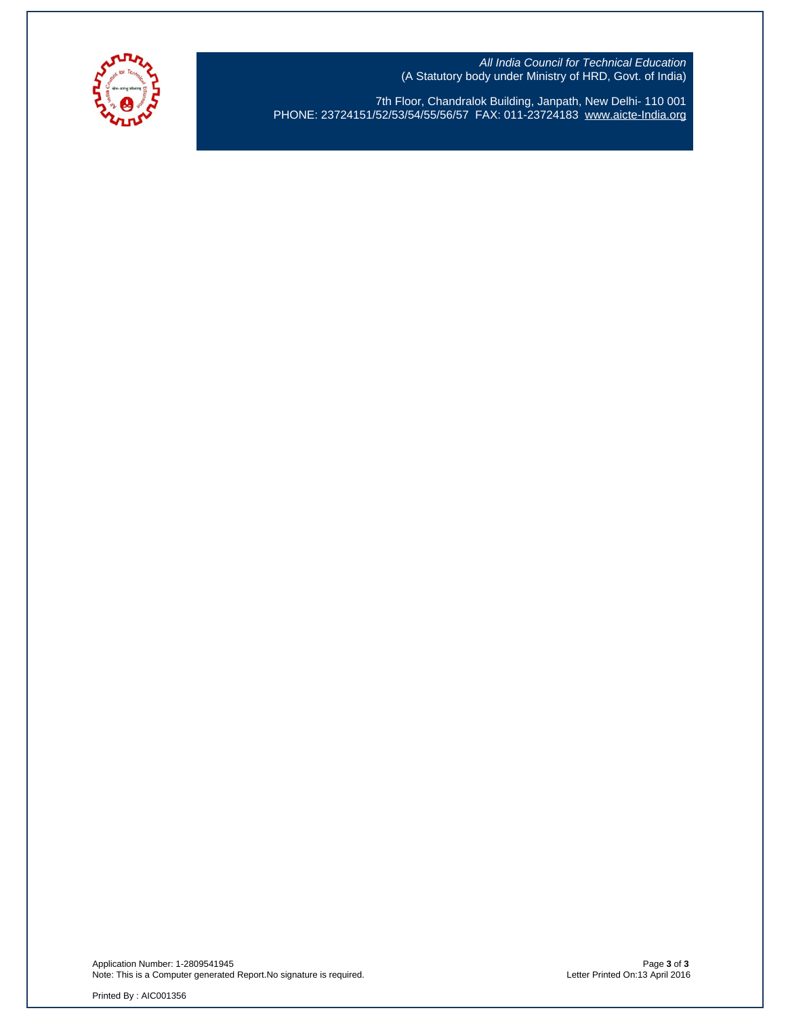

7th Floor, Chandralok Building, Janpath, New Delhi- 110 001 PHONE: 23724151/52/53/54/55/56/57 FAX: 011-23724183 [www.aicte-India.org](http://www.aicte-india.org/)

Application Number: 1-2809541945 Page **3** of **3** Note: This is a Computer generated Report.No signature is required. Letter Printed On:13 April 2016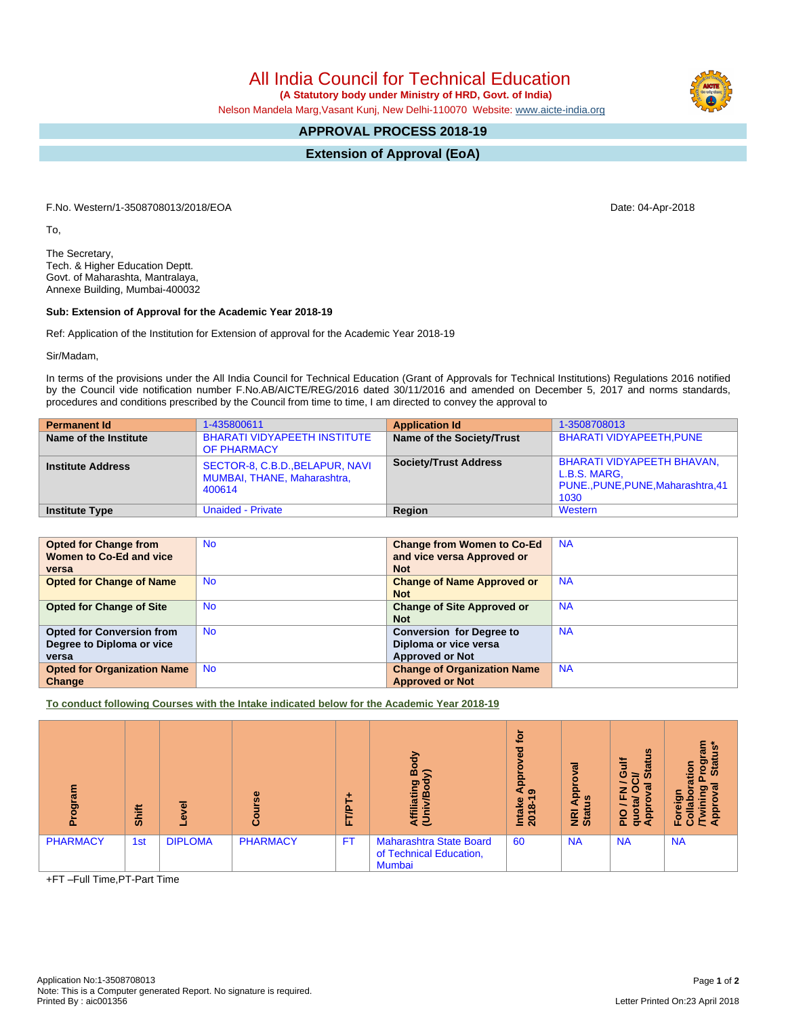Nelson Mandela Marg,Vasant Kunj, New Delhi-110070 Website: [www.aicte-india.org](http://www.aicte-india.org)

# **APPROVAL PROCESS 2018-19**

**Extension of Approval (EoA)**

F.No. Western/1-3508708013/2018/EOA Date: 04-Apr-2018

To,

The Secretary, Tech. & Higher Education Deptt. Govt. of Maharashta, Mantralaya, Annexe Building, Mumbai-400032

#### **Sub: Extension of Approval for the Academic Year 2018-19**

Ref: Application of the Institution for Extension of approval for the Academic Year 2018-19

Sir/Madam,

In terms of the provisions under the All India Council for Technical Education (Grant of Approvals for Technical Institutions) Regulations 2016 notified by the Council vide notification number F.No.AB/AICTE/REG/2016 dated 30/11/2016 and amended on December 5, 2017 and norms standards, procedures and conditions prescribed by the Council from time to time, I am directed to convey the approval to

| <b>Permanent Id</b>      | 1-435800611                                                              | <b>Application Id</b>        | 1-3508708013                                                                                    |
|--------------------------|--------------------------------------------------------------------------|------------------------------|-------------------------------------------------------------------------------------------------|
| Name of the Institute    | <b>BHARATI VIDYAPEETH INSTITUTE</b><br>OF PHARMACY                       | Name of the Society/Trust    | <b>BHARATI VIDYAPEETH, PUNE</b>                                                                 |
| <b>Institute Address</b> | SECTOR-8, C.B.D., BELAPUR, NAVI<br>MUMBAI, THANE, Maharashtra,<br>400614 | <b>Society/Trust Address</b> | <b>BHARATI VIDYAPEETH BHAVAN,</b><br>L.B.S. MARG,<br>PUNE., PUNE, PUNE, Maharashtra, 41<br>1030 |
| <b>Institute Type</b>    | <b>Unaided - Private</b>                                                 | Region                       | Western                                                                                         |

| <b>Opted for Change from</b>       | <b>No</b> | <b>Change from Women to Co-Ed</b>  | <b>NA</b> |
|------------------------------------|-----------|------------------------------------|-----------|
| Women to Co-Ed and vice            |           | and vice versa Approved or         |           |
| versa                              |           | <b>Not</b>                         |           |
| <b>Opted for Change of Name</b>    | <b>No</b> | <b>Change of Name Approved or</b>  | <b>NA</b> |
|                                    |           | <b>Not</b>                         |           |
| <b>Opted for Change of Site</b>    | <b>No</b> | <b>Change of Site Approved or</b>  | <b>NA</b> |
|                                    |           | <b>Not</b>                         |           |
| <b>Opted for Conversion from</b>   | <b>No</b> | <b>Conversion for Degree to</b>    | <b>NA</b> |
| Degree to Diploma or vice          |           | Diploma or vice versa              |           |
| versa                              |           | <b>Approved or Not</b>             |           |
| <b>Opted for Organization Name</b> | <b>No</b> | <b>Change of Organization Name</b> | <b>NA</b> |
| Change                             |           | <b>Approved or Not</b>             |           |

**To conduct following Courses with the Intake indicated below for the Academic Year 2018-19**

| ogram<br>ō.     | Shift | $\overline{\mathbf{a}}$<br>ω | $\omega$        | ٠<br>Ĕ<br>u. | 융<br>٥<br>∞<br>ς<br>Affiliating<br>(Univ/Bod <sub>)</sub>                  | ٠ĕ<br>$\overline{e}$<br>8<br>⋖<br>$\bullet$<br>Intake<br>2018-1 | ಸ<br>윤<br><b>SC</b><br><b>Big</b> | $\boldsymbol{v}$<br>青<br>÷<br>Ñ.<br>്മ്<br>O<br>≃<br>ത<br>7<br>ш<br>o<br>å<br>ဌ<br><b>DId</b><br>σ∢ | $\sigma$<br><b>Stai</b><br>tion<br>o<br>δ<br>ం |
|-----------------|-------|------------------------------|-----------------|--------------|----------------------------------------------------------------------------|-----------------------------------------------------------------|-----------------------------------|-----------------------------------------------------------------------------------------------------|------------------------------------------------|
| <b>PHARMACY</b> | 1st   | <b>DIPLOMA</b>               | <b>PHARMACY</b> | FT.          | <b>Maharashtra State Board</b><br>of Technical Education,<br><b>Mumbai</b> | 60                                                              | <b>NA</b>                         | <b>NA</b>                                                                                           | <b>NA</b>                                      |

+FT –Full Time,PT-Part Time

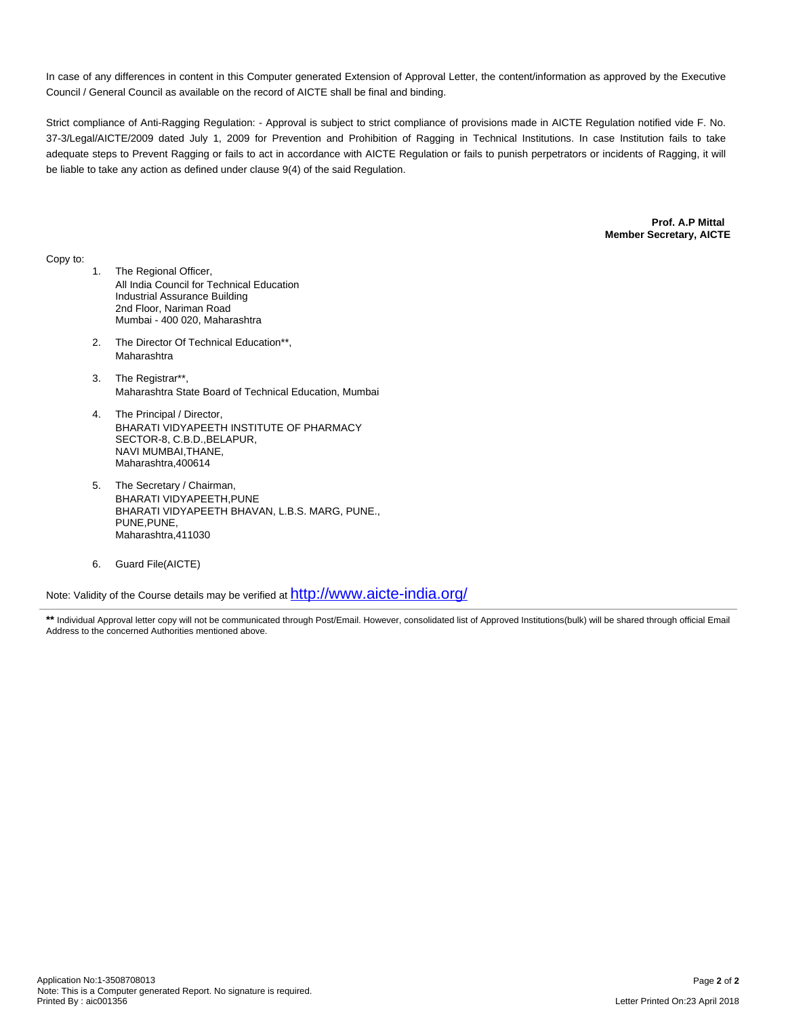In case of any differences in content in this Computer generated Extension of Approval Letter, the content/information as approved by the Executive Council / General Council as available on the record of AICTE shall be final and binding.

Strict compliance of Anti-Ragging Regulation: - Approval is subject to strict compliance of provisions made in AICTE Regulation notified vide F. No. 37-3/Legal/AICTE/2009 dated July 1, 2009 for Prevention and Prohibition of Ragging in Technical Institutions. In case Institution fails to take adequate steps to Prevent Ragging or fails to act in accordance with AICTE Regulation or fails to punish perpetrators or incidents of Ragging, it will be liable to take any action as defined under clause 9(4) of the said Regulation.

> **Prof. A.P Mittal Member Secretary, AICTE**

Copy to:

- 1. The Regional Officer, All India Council for Technical Education Industrial Assurance Building 2nd Floor, Nariman Road Mumbai - 400 020, Maharashtra
- 2. The Director Of Technical Education\*\*, Maharashtra
- 3. The Registrar\*\*, Maharashtra State Board of Technical Education, Mumbai
- 4. The Principal / Director, BHARATI VIDYAPEETH INSTITUTE OF PHARMACY SECTOR-8, C.B.D.,BELAPUR, NAVI MUMBAI,THANE, Maharashtra,400614
- 5. The Secretary / Chairman, BHARATI VIDYAPEETH,PUNE BHARATI VIDYAPEETH BHAVAN, L.B.S. MARG, PUNE., PUNE,PUNE, Maharashtra,411030
- 6. Guard File(AICTE)

Note: Validity of the Course details may be verified at <http://www.aicte-india.org/>

<sup>\*\*</sup> Individual Approval letter copy will not be communicated through Post/Email. However, consolidated list of Approved Institutions(bulk) will be shared through official Email Address to the concerned Authorities mentioned above.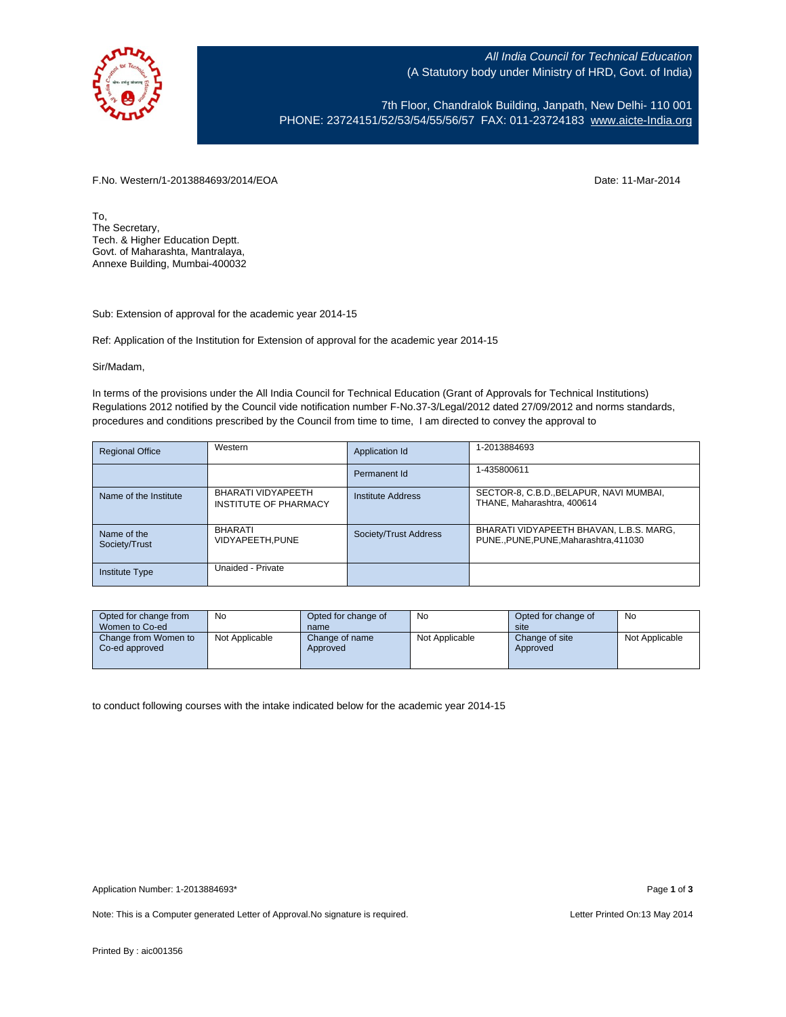

7th Floor, Chandralok Building, Janpath, New Delhi- 110 001 PHONE: 23724151/52/53/54/55/56/57 FAX: 011-23724183 [www.aicte-India.org](http://www.aicte-india.org/)

F.No. Western/1-2013884693/2014/EOA Date: 11-Mar-2014

To, The Secretary, Tech. & Higher Education Deptt. Govt. of Maharashta, Mantralaya, Annexe Building, Mumbai-400032

Sub: Extension of approval for the academic year 2014-15

Ref: Application of the Institution for Extension of approval for the academic year 2014-15

Sir/Madam,

In terms of the provisions under the All India Council for Technical Education (Grant of Approvals for Technical Institutions) Regulations 2012 notified by the Council vide notification number F-No.37-3/Legal/2012 dated 27/09/2012 and norms standards, procedures and conditions prescribed by the Council from time to time, I am directed to convey the approval to

| <b>Regional Office</b>       | Western                                     | Application Id        | 1-2013884693                                                                      |
|------------------------------|---------------------------------------------|-----------------------|-----------------------------------------------------------------------------------|
|                              |                                             | Permanent Id          | 1-435800611                                                                       |
| Name of the Institute        | BHARATI VIDYAPEETH<br>INSTITUTE OF PHARMACY | Institute Address     | SECTOR-8, C.B.D., BELAPUR, NAVI MUMBAI,<br>THANE, Maharashtra, 400614             |
| Name of the<br>Society/Trust | <b>BHARATI</b><br>VIDYAPEETH, PUNE          | Society/Trust Address | BHARATI VIDYAPEETH BHAVAN, L.B.S. MARG,<br>PUNE., PUNE, PUNE, Maharashtra, 411030 |
| <b>Institute Type</b>        | Unaided - Private                           |                       |                                                                                   |

| Opted for change from<br>Women to Co-ed | No             | Opted for change of<br>name | No             | Opted for change of<br>site | No             |
|-----------------------------------------|----------------|-----------------------------|----------------|-----------------------------|----------------|
| Change from Women to<br>Co-ed approved  | Not Applicable | Change of name<br>Approved  | Not Applicable | Change of site<br>Approved  | Not Applicable |

to conduct following courses with the intake indicated below for the academic year 2014-15

Note: This is a Computer generated Letter of Approval. No signature is required. Letter Printed On:13 May 2014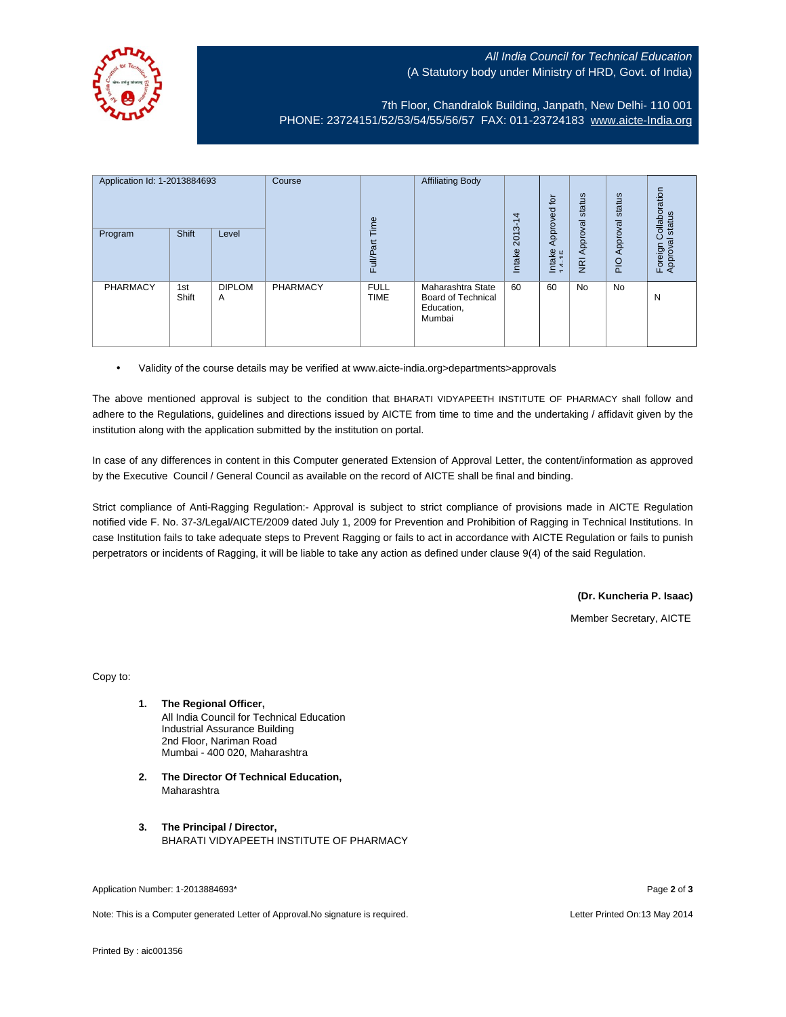

7th Floor, Chandralok Building, Janpath, New Delhi- 110 001 PHONE: 23724151/52/53/54/55/56/57 FAX: 011-23724183 [www.aicte-India.org](http://www.aicte-india.org/)

| Application Id: 1-2013884693<br>Program | Shift        | Level              | Course   | Time<br><b>Full/Part</b>   | <b>Affiliating Body</b>                                         | 4<br>$2013 - 1$<br>Intake | ğ,<br>공<br>Approv<br>Intake<br>14-15 | status<br>Approval          | status<br>Approval         | ollaboration<br>status<br>ပ<br>Foreign C<br>Approval |
|-----------------------------------------|--------------|--------------------|----------|----------------------------|-----------------------------------------------------------------|---------------------------|--------------------------------------|-----------------------------|----------------------------|------------------------------------------------------|
| <b>PHARMACY</b>                         | 1st<br>Shift | <b>DIPLOM</b><br>A | PHARMACY | <b>FULL</b><br><b>TIME</b> | Maharashtra State<br>Board of Technical<br>Education,<br>Mumbai | 60                        | 60                                   | $\overline{g}$<br><b>No</b> | $\frac{1}{2}$<br><b>No</b> | N                                                    |

• Validity of the course details may be verified at www.aicte-india.org>departments>approvals

The above mentioned approval is subject to the condition that BHARATI VIDYAPEETH INSTITUTE OF PHARMACY shall follow and adhere to the Regulations, guidelines and directions issued by AICTE from time to time and the undertaking / affidavit given by the institution along with the application submitted by the institution on portal.

In case of any differences in content in this Computer generated Extension of Approval Letter, the content/information as approved by the Executive Council / General Council as available on the record of AICTE shall be final and binding.

Strict compliance of Anti-Ragging Regulation:- Approval is subject to strict compliance of provisions made in AICTE Regulation notified vide F. No. 37-3/Legal/AICTE/2009 dated July 1, 2009 for Prevention and Prohibition of Ragging in Technical Institutions. In case Institution fails to take adequate steps to Prevent Ragging or fails to act in accordance with AICTE Regulation or fails to punish perpetrators or incidents of Ragging, it will be liable to take any action as defined under clause 9(4) of the said Regulation.

**(Dr. Kuncheria P. Isaac)**

Member Secretary, AICTE

Copy to:

- **1. The Regional Officer,** All India Council for Technical Education Industrial Assurance Building 2nd Floor, Nariman Road Mumbai - 400 020, Maharashtra
- **2. The Director Of Technical Education,** Maharashtra
- **3. The Principal / Director,** BHARATI VIDYAPEETH INSTITUTE OF PHARMACY

Application Number: 1-2013884693\* Page **2** of **3**

Note: This is a Computer generated Letter of Approval.No signature is required. Letter Approversity controller than the United On:13 May 2014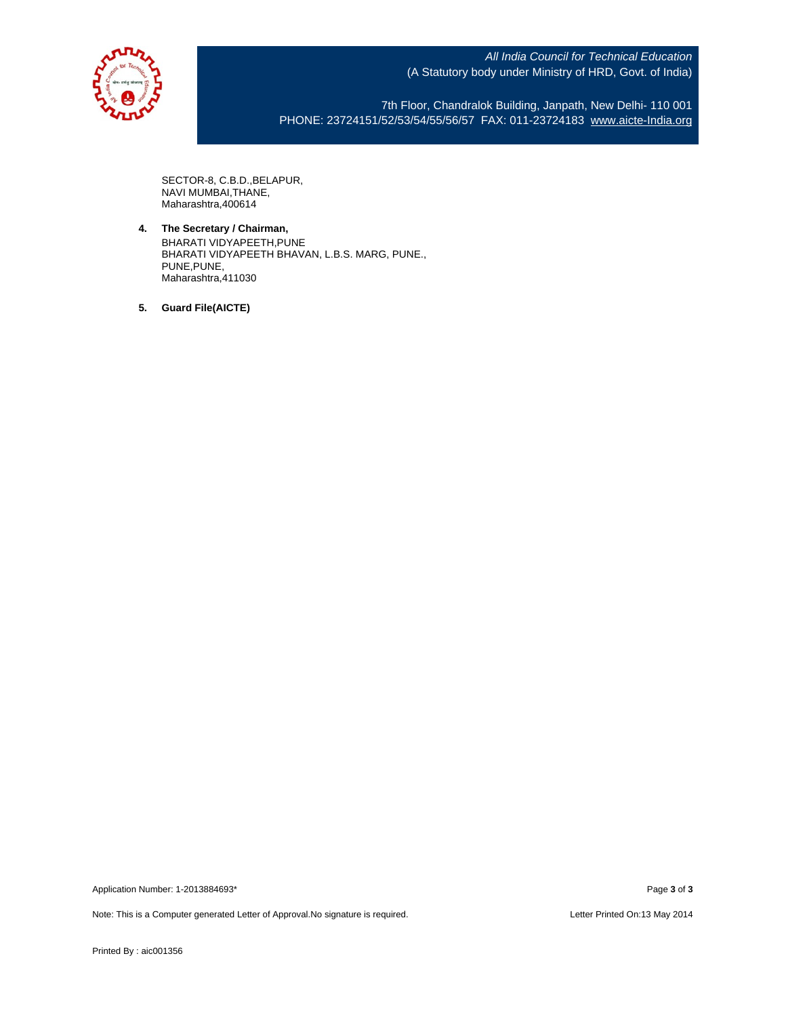

7th Floor, Chandralok Building, Janpath, New Delhi- 110 001 PHONE: 23724151/52/53/54/55/56/57 FAX: 011-23724183 [www.aicte-India.org](http://www.aicte-india.org/)

SECTOR-8, C.B.D.,BELAPUR, NAVI MUMBAI,THANE, Maharashtra,400614

- **4. The Secretary / Chairman,** BHARATI VIDYAPEETH,PUNE BHARATI VIDYAPEETH BHAVAN, L.B.S. MARG, PUNE., PUNE,PUNE, Maharashtra,411030
- **5. Guard File(AICTE)**

Application Number: 1-2013884693\* Page **3** of **3**

Note: This is a Computer generated Letter of Approval. No signature is required. Letter Printed On:13 May 2014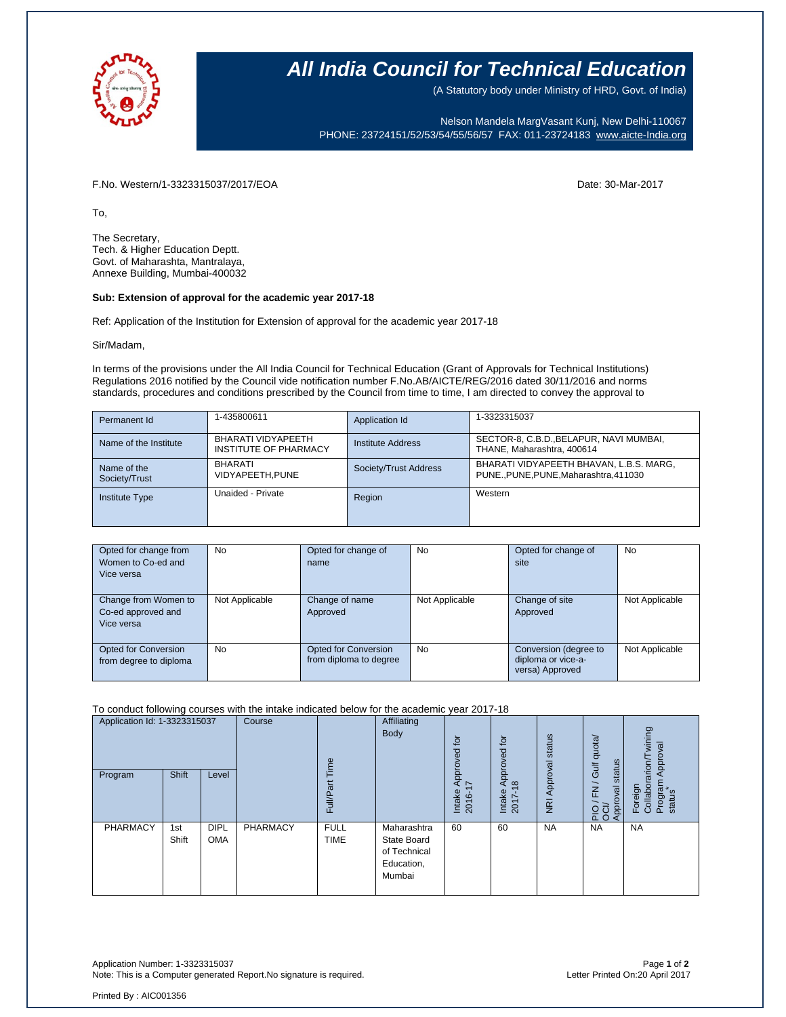

(A Statutory body under Ministry of HRD, Govt. of India)

Nelson Mandela MargVasant Kunj, New Delhi-110067 PHONE: 23724151/52/53/54/55/56/57 FAX: 011-23724183 [www.aicte-India.org](http://www.aicte-india.org/)

F.No. Western/1-3323315037/2017/EOA Date: 30-Mar-2017

To,

The Secretary, Tech. & Higher Education Deptt. Govt. of Maharashta, Mantralaya, Annexe Building, Mumbai-400032

#### **Sub: Extension of approval for the academic year 2017-18**

Ref: Application of the Institution for Extension of approval for the academic year 2017-18

Sir/Madam,

In terms of the provisions under the All India Council for Technical Education (Grant of Approvals for Technical Institutions) Regulations 2016 notified by the Council vide notification number F.No.AB/AICTE/REG/2016 dated 30/11/2016 and norms standards, procedures and conditions prescribed by the Council from time to time, I am directed to convey the approval to

| Permanent Id                 | 1-435800611                                 | Application Id        | 1-3323315037                                                                      |
|------------------------------|---------------------------------------------|-----------------------|-----------------------------------------------------------------------------------|
| Name of the Institute        | BHARATI VIDYAPEETH<br>INSTITUTE OF PHARMACY | Institute Address     | SECTOR-8, C.B.D., BELAPUR, NAVI MUMBAI,<br>THANE, Maharashtra, 400614             |
| Name of the<br>Society/Trust | <b>BHARATI</b><br>VIDYAPEETH.PUNE           | Society/Trust Address | BHARATI VIDYAPEETH BHAVAN, L.B.S. MARG,<br>PUNE., PUNE, PUNE, Maharashtra, 411030 |
| <b>Institute Type</b>        | Unaided - Private                           | Region                | Western                                                                           |

| Opted for change from<br>Women to Co-ed and<br>Vice versa | <b>No</b>      | Opted for change of<br>name                    | <b>No</b>      | Opted for change of<br>site                                    | No             |
|-----------------------------------------------------------|----------------|------------------------------------------------|----------------|----------------------------------------------------------------|----------------|
| Change from Women to<br>Co-ed approved and<br>Vice versa  | Not Applicable | Change of name<br>Approved                     | Not Applicable | Change of site<br>Approved                                     | Not Applicable |
| <b>Opted for Conversion</b><br>from degree to diploma     | <b>No</b>      | Opted for Conversion<br>from diploma to degree | <b>No</b>      | Conversion (degree to<br>diploma or vice-a-<br>versa) Approved | Not Applicable |

#### To conduct following courses with the intake indicated below for the academic year 2017-18

| Application Id: 1-3323315037<br>Program | Shift        | Level                     | Course   | Time<br><b>Full/Part</b>   | Affiliating<br><b>Body</b>                                         | tor<br>요<br>š<br>ĀPI<br>7<br>Intake<br>2016-1 | $\overline{a}$<br>공<br>š<br>ā<br>$\infty$<br>⋖<br>Intake<br>2017- | status<br>Approval<br>$\overline{g}$ | Gulf quota/<br>status<br>FN/<br>Approval<br>$\frac{5}{20}$ | wining<br>Approval<br>$r$ arion $\pi$<br>Program<br>status<br>Collabor<br>Foreign |
|-----------------------------------------|--------------|---------------------------|----------|----------------------------|--------------------------------------------------------------------|-----------------------------------------------|-------------------------------------------------------------------|--------------------------------------|------------------------------------------------------------|-----------------------------------------------------------------------------------|
| PHARMACY                                | 1st<br>Shift | <b>DIPL</b><br><b>OMA</b> | PHARMACY | <b>FULL</b><br><b>TIME</b> | Maharashtra<br>State Board<br>of Technical<br>Education,<br>Mumbai | 60                                            | 60                                                                | <b>NA</b>                            | <b>NA</b>                                                  | <b>NA</b>                                                                         |

Application Number: 1-3323315037 Page **1** of **2** Note: This is a Computer generated Report.No signature is required.

Printed By : AIC001356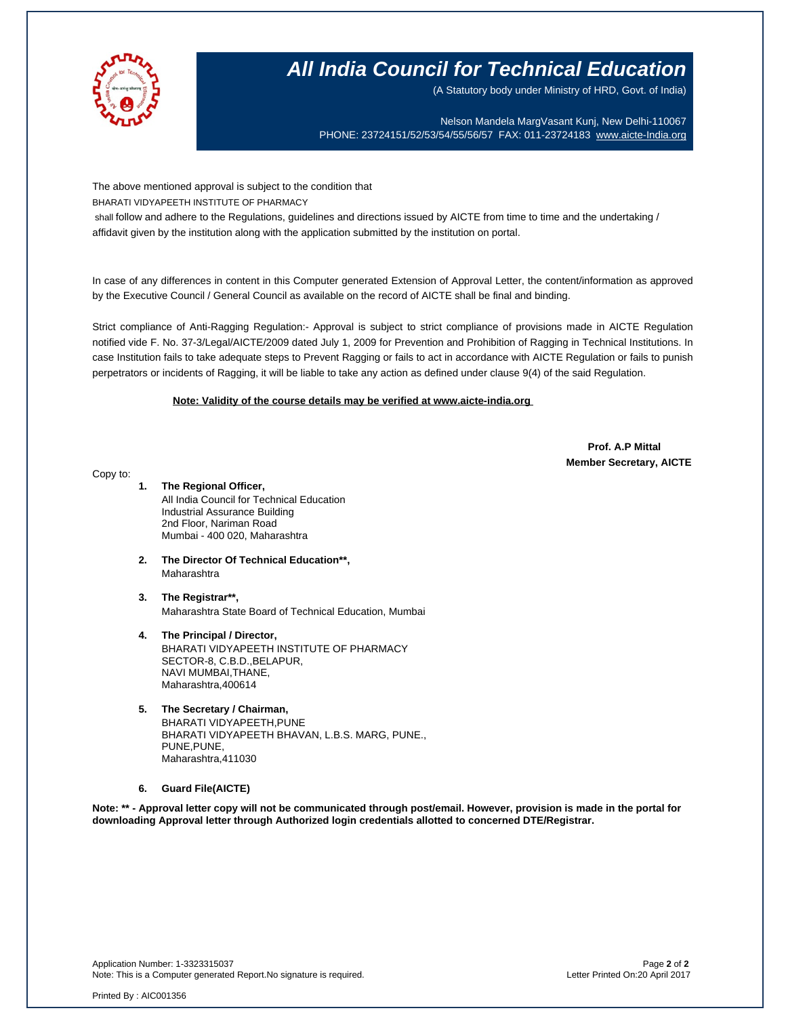

(A Statutory body under Ministry of HRD, Govt. of India)

Nelson Mandela MargVasant Kunj, New Delhi-110067 PHONE: 23724151/52/53/54/55/56/57 FAX: 011-23724183 [www.aicte-India.org](http://www.aicte-india.org/)

The above mentioned approval is subject to the condition that

BHARATI VIDYAPEETH INSTITUTE OF PHARMACY

shall follow and adhere to the Regulations, quidelines and directions issued by AICTE from time to time and the undertaking / affidavit given by the institution along with the application submitted by the institution on portal.

In case of any differences in content in this Computer generated Extension of Approval Letter, the content/information as approved by the Executive Council / General Council as available on the record of AICTE shall be final and binding.

Strict compliance of Anti-Ragging Regulation:- Approval is subject to strict compliance of provisions made in AICTE Regulation notified vide F. No. 37-3/Legal/AICTE/2009 dated July 1, 2009 for Prevention and Prohibition of Ragging in Technical Institutions. In case Institution fails to take adequate steps to Prevent Ragging or fails to act in accordance with AICTE Regulation or fails to punish perpetrators or incidents of Ragging, it will be liable to take any action as defined under clause 9(4) of the said Regulation.

#### **Note: Validity of the course details may be verified at www.aicte-india.org**

 **Prof. A.P Mittal Member Secretary, AICTE**

Copy to:

- **1. The Regional Officer,** All India Council for Technical Education Industrial Assurance Building 2nd Floor, Nariman Road Mumbai - 400 020, Maharashtra
- **2. The Director Of Technical Education\*\*,** Maharashtra
- **3. The Registrar\*\*,** Maharashtra State Board of Technical Education, Mumbai
- **4. The Principal / Director,** BHARATI VIDYAPEETH INSTITUTE OF PHARMACY SECTOR-8, C.B.D.,BELAPUR, NAVI MUMBAI,THANE, Maharashtra,400614
- **5. The Secretary / Chairman,** BHARATI VIDYAPEETH,PUNE BHARATI VIDYAPEETH BHAVAN, L.B.S. MARG, PUNE., PUNE,PUNE, Maharashtra,411030

#### **6. Guard File(AICTE)**

**Note: \*\* - Approval letter copy will not be communicated through post/email. However, provision is made in the portal for downloading Approval letter through Authorized login credentials allotted to concerned DTE/Registrar.**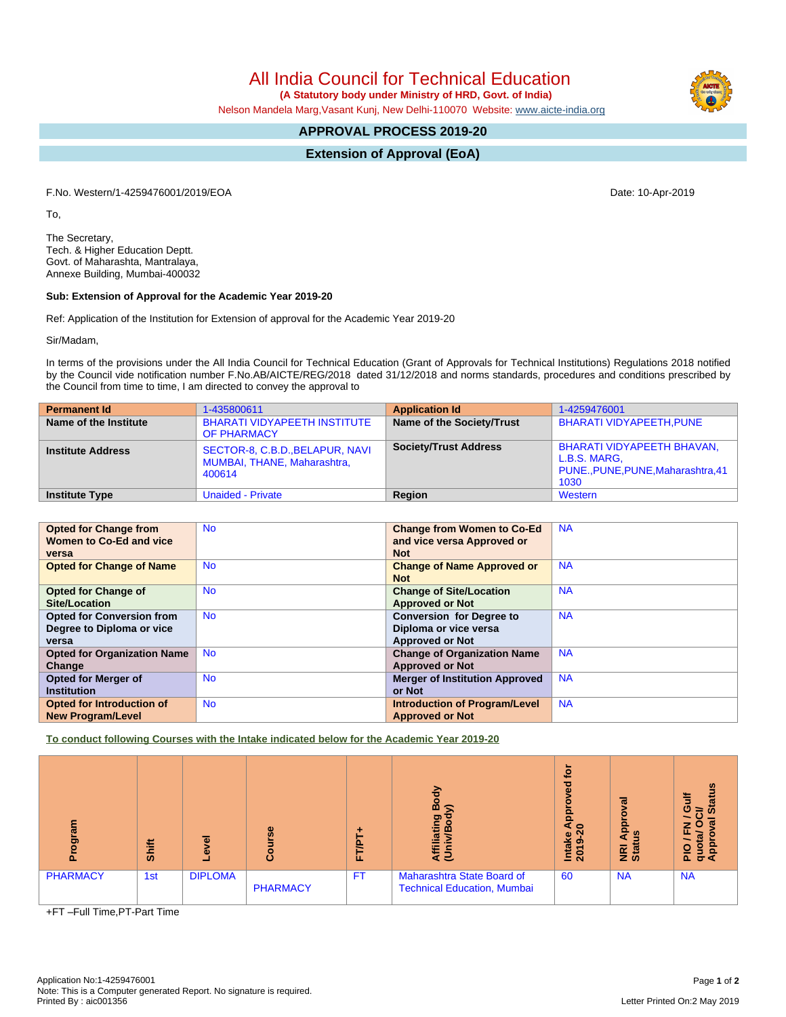**(A Statutory body under Ministry of HRD, Govt. of India)**

Nelson Mandela Marg,Vasant Kunj, New Delhi-110070 Website: [www.aicte-india.org](http://www.aicte-india.org)

# **APPROVAL PROCESS 2019-20**

**Extension of Approval (EoA)**

F.No. Western/1-4259476001/2019/EOA Date: 10-Apr-2019

To,

The Secretary, Tech. & Higher Education Deptt. Govt. of Maharashta, Mantralaya, Annexe Building, Mumbai-400032

#### **Sub: Extension of Approval for the Academic Year 2019-20**

Ref: Application of the Institution for Extension of approval for the Academic Year 2019-20

Sir/Madam,

In terms of the provisions under the All India Council for Technical Education (Grant of Approvals for Technical Institutions) Regulations 2018 notified by the Council vide notification number F.No.AB/AICTE/REG/2018 dated 31/12/2018 and norms standards, procedures and conditions prescribed by the Council from time to time, I am directed to convey the approval to

| <b>Permanent Id</b>      | 1-435800611                                                              | <b>Application Id</b>        | 1-4259476001                                                                                    |
|--------------------------|--------------------------------------------------------------------------|------------------------------|-------------------------------------------------------------------------------------------------|
| Name of the Institute    | <b>BHARATI VIDYAPEETH INSTITUTE</b><br><b>OF PHARMACY</b>                | Name of the Society/Trust    | <b>BHARATI VIDYAPEETH, PUNE</b>                                                                 |
| <b>Institute Address</b> | SECTOR-8, C.B.D., BELAPUR, NAVI<br>MUMBAI, THANE, Maharashtra,<br>400614 | <b>Society/Trust Address</b> | <b>BHARATI VIDYAPEETH BHAVAN,</b><br>L.B.S. MARG.<br>PUNE., PUNE, PUNE, Maharashtra, 41<br>1030 |
| <b>Institute Type</b>    | <b>Unaided - Private</b>                                                 | Region                       | Western                                                                                         |

| <b>Opted for Change from</b>       | <b>No</b> | <b>Change from Women to Co-Ed</b>     | <b>NA</b> |
|------------------------------------|-----------|---------------------------------------|-----------|
| Women to Co-Ed and vice            |           | and vice versa Approved or            |           |
| versa                              |           | <b>Not</b>                            |           |
| <b>Opted for Change of Name</b>    | <b>No</b> | <b>Change of Name Approved or</b>     | <b>NA</b> |
|                                    |           | <b>Not</b>                            |           |
| <b>Opted for Change of</b>         | <b>No</b> | <b>Change of Site/Location</b>        | <b>NA</b> |
| Site/Location                      |           | <b>Approved or Not</b>                |           |
| <b>Opted for Conversion from</b>   | <b>No</b> | <b>Conversion for Degree to</b>       | <b>NA</b> |
| Degree to Diploma or vice          |           | Diploma or vice versa                 |           |
| versa                              |           | <b>Approved or Not</b>                |           |
| <b>Opted for Organization Name</b> | <b>No</b> | <b>Change of Organization Name</b>    | <b>NA</b> |
| Change                             |           | <b>Approved or Not</b>                |           |
| <b>Opted for Merger of</b>         | <b>No</b> | <b>Merger of Institution Approved</b> | <b>NA</b> |
| <b>Institution</b>                 |           | or Not                                |           |
| Opted for Introduction of          | <b>No</b> | <b>Introduction of Program/Level</b>  | <b>NA</b> |
| <b>New Program/Level</b>           |           | <b>Approved or Not</b>                |           |

**To conduct following Courses with the Intake indicated below for the Academic Year 2019-20**

| ಕಾ<br>o.        | Shift | ᠊ᢛ<br>ڡ        | rse<br><b>Cour</b> | <b>FT/P</b> | 중<br>o<br>ē<br>ਣ ਦ                                               | <b>jo</b><br>g<br>٥<br>윤<br><b>Intake</b><br>2019-2 | ड़<br>Ö<br>윤<br>m<br><b>NRI</b><br>Stat | <b>Status</b><br>₹<br>O<br>∍<br>z<br>œ<br>O<br>п.<br>ą<br>$\circ$<br>g<br>ਛ ਛ-ਵ |
|-----------------|-------|----------------|--------------------|-------------|------------------------------------------------------------------|-----------------------------------------------------|-----------------------------------------|---------------------------------------------------------------------------------|
| <b>PHARMACY</b> | 1st   | <b>DIPLOMA</b> | <b>PHARMACY</b>    | <b>FT</b>   | Maharashtra State Board of<br><b>Technical Education, Mumbai</b> | 60                                                  | <b>NA</b>                               | <b>NA</b>                                                                       |

+FT –Full Time,PT-Part Time

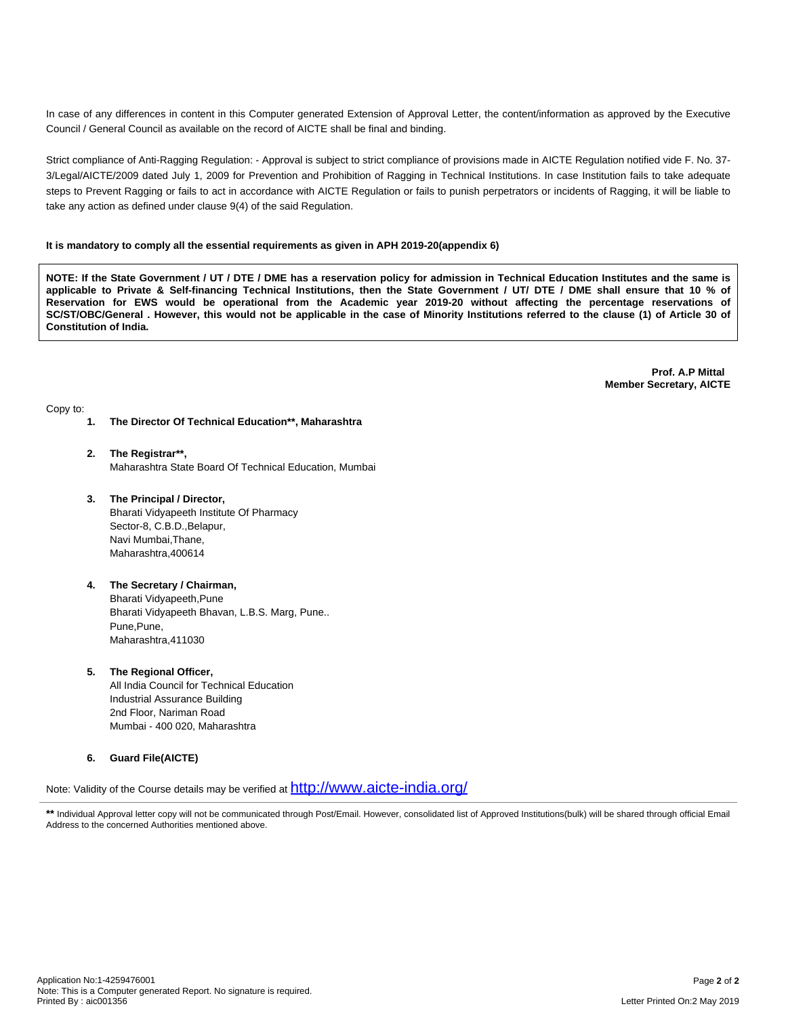In case of any differences in content in this Computer generated Extension of Approval Letter, the content/information as approved by the Executive Council / General Council as available on the record of AICTE shall be final and binding.

Strict compliance of Anti-Ragging Regulation: - Approval is subject to strict compliance of provisions made in AICTE Regulation notified vide F. No. 37- 3/Legal/AICTE/2009 dated July 1, 2009 for Prevention and Prohibition of Ragging in Technical Institutions. In case Institution fails to take adequate steps to Prevent Ragging or fails to act in accordance with AICTE Regulation or fails to punish perpetrators or incidents of Ragging, it will be liable to take any action as defined under clause 9(4) of the said Regulation.

#### **It is mandatory to comply all the essential requirements as given in APH 2019-20(appendix 6)**

NOTE: If the State Government / UT / DTE / DME has a reservation policy for admission in Technical Education Institutes and the same is applicable to Private & Self-financing Technical Institutions, then the State Government / UT/ DTE / DME shall ensure that 10 % of Reservation for EWS would be operational from the Academic year 2019-20 without affecting the percentage reservations of SC/ST/OBC/General . However, this would not be applicable in the case of Minority Institutions referred to the clause (1) of Article 30 of **Constitution of India.**

> **Prof. A.P Mittal Member Secretary, AICTE**

#### Copy to:

- **1. The Director Of Technical Education\*\*, Maharashtra**
- **2. The Registrar\*\*,** Maharashtra State Board Of Technical Education, Mumbai
- **3. The Principal / Director,** Bharati Vidyapeeth Institute Of Pharmacy Sector-8, C.B.D.,Belapur, Navi Mumbai,Thane, Maharashtra,400614

## **4. The Secretary / Chairman,**

Bharati Vidyapeeth,Pune Bharati Vidyapeeth Bhavan, L.B.S. Marg, Pune.. Pune, Pune, Maharashtra,411030

**5. The Regional Officer,**

All India Council for Technical Education Industrial Assurance Building 2nd Floor, Nariman Road Mumbai - 400 020, Maharashtra

**6. Guard File(AICTE)**

Note: Validity of the Course details may be verified at <http://www.aicte-india.org/>

**<sup>\*\*</sup>** Individual Approval letter copy will not be communicated through Post/Email. However, consolidated list of Approved Institutions(bulk) will be shared through official Email Address to the concerned Authorities mentioned above.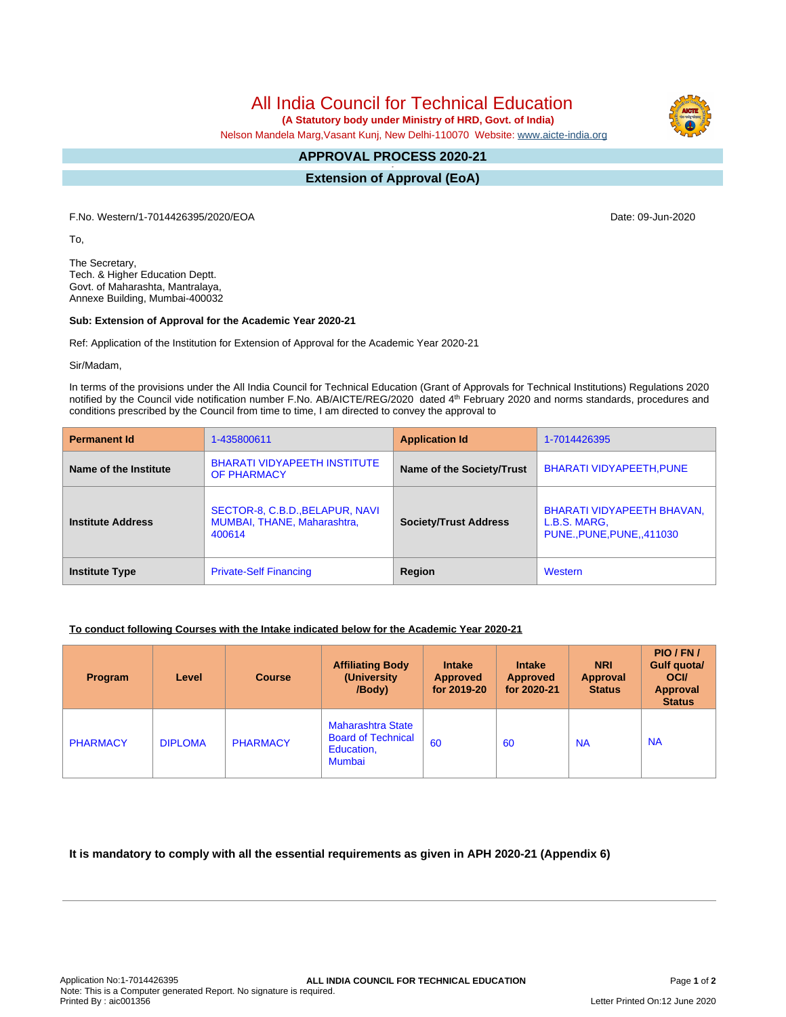**(A Statutory body under Ministry of HRD, Govt. of India)**

Nelson Mandela Marg,Vasant Kunj, New Delhi-110070 Website: [www.aicte-india.org](http://www.aicte-india.org)

#### **APPROVAL PROCESS 2020-21 -**

**Extension of Approval (EoA)**

F.No. Western/1-7014426395/2020/EOA Date: 09-Jun-2020

To,

The Secretary, Tech. & Higher Education Deptt. Govt. of Maharashta, Mantralaya, Annexe Building, Mumbai-400032

#### **Sub: Extension of Approval for the Academic Year 2020-21**

Ref: Application of the Institution for Extension of Approval for the Academic Year 2020-21

Sir/Madam,

In terms of the provisions under the All India Council for Technical Education (Grant of Approvals for Technical Institutions) Regulations 2020 notified by the Council vide notification number F.No. AB/AICTE/REG/2020 dated 4<sup>th</sup> February 2020 and norms standards, procedures and conditions prescribed by the Council from time to time, I am directed to convey the approval to

| <b>Permanent Id</b>      | 1-435800611                                                              | <b>Application Id</b>        | 1-7014426395                                                                   |
|--------------------------|--------------------------------------------------------------------------|------------------------------|--------------------------------------------------------------------------------|
| Name of the Institute    | <b>BHARATI VIDYAPEETH INSTITUTE</b><br>OF PHARMACY                       | Name of the Society/Trust    | <b>BHARATI VIDYAPEETH, PUNE</b>                                                |
| <b>Institute Address</b> | SECTOR-8, C.B.D., BELAPUR, NAVI<br>MUMBAI, THANE, Maharashtra,<br>400614 | <b>Society/Trust Address</b> | <b>BHARATI VIDYAPEETH BHAVAN,</b><br>L.B.S. MARG.<br>PUNE., PUNE, PUNE, 411030 |
| <b>Institute Type</b>    | <b>Private-Self Financing</b>                                            | Region                       | Western                                                                        |

### **To conduct following Courses with the Intake indicated below for the Academic Year 2020-21**

| Program         | Level          | <b>Course</b>   | <b>Affiliating Body</b><br>(University)<br>/Body)                             | <b>Intake</b><br><b>Approved</b><br>for 2019-20 | <b>Intake</b><br><b>Approved</b><br>for 2020-21 | <b>NRI</b><br>Approval<br><b>Status</b> | PIO/FN/<br>Gulf quota/<br><b>OCI</b><br><b>Approval</b><br><b>Status</b> |
|-----------------|----------------|-----------------|-------------------------------------------------------------------------------|-------------------------------------------------|-------------------------------------------------|-----------------------------------------|--------------------------------------------------------------------------|
| <b>PHARMACY</b> | <b>DIPLOMA</b> | <b>PHARMACY</b> | <b>Maharashtra State</b><br><b>Board of Technical</b><br>Education,<br>Mumbai | 60                                              | -60                                             | <b>NA</b>                               | <b>NA</b>                                                                |

# **It is mandatory to comply with all the essential requirements as given in APH 2020-21 (Appendix 6)**